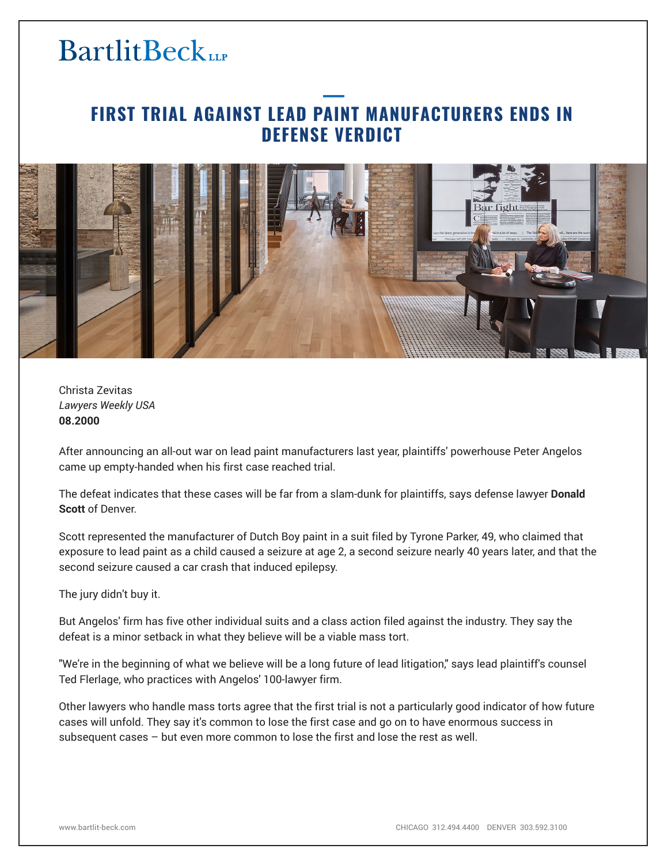### **FIRST TRIAL AGAINST LEAD PAINT MANUFACTURERS ENDS IN DEFENSE VERDICT**



Christa Zevitas *Lawyers Weekly USA* **08.2000**

After announcing an all-out war on lead paint manufacturers last year, plaintiffs' powerhouse Peter Angelos came up empty-handed when his first case reached trial.

The defeat indicates that these cases will be far from a slam-dunk for plaintiffs, says defense lawyer **Donald Scott** of Denver.

Scott represented the manufacturer of Dutch Boy paint in a suit filed by Tyrone Parker, 49, who claimed that exposure to lead paint as a child caused a seizure at age 2, a second seizure nearly 40 years later, and that the second seizure caused a car crash that induced epilepsy.

The jury didn't buy it.

But Angelos' firm has five other individual suits and a class action filed against the industry. They say the defeat is a minor setback in what they believe will be a viable mass tort.

"We're in the beginning of what we believe will be a long future of lead litigation," says lead plaintiff's counsel Ted Flerlage, who practices with Angelos' 100-lawyer firm.

Other lawyers who handle mass torts agree that the first trial is not a particularly good indicator of how future cases will unfold. They say it's common to lose the first case and go on to have enormous success in subsequent cases – but even more common to lose the first and lose the rest as well.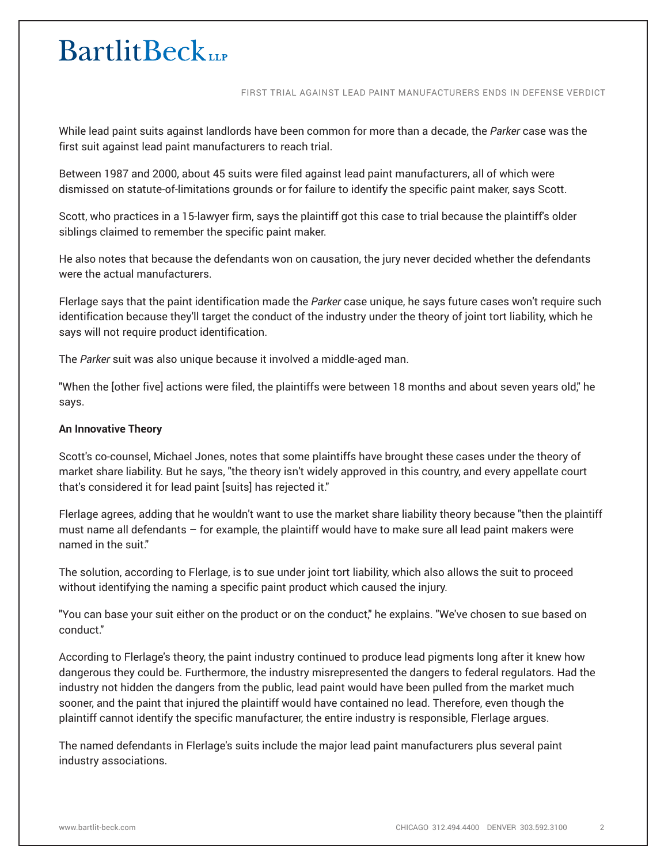FIRST TRIAL AGAINST LEAD PAINT MANUFACTURERS ENDS IN DEFENSE VERDICT

While lead paint suits against landlords have been common for more than a decade, the *Parker* case was the first suit against lead paint manufacturers to reach trial.

Between 1987 and 2000, about 45 suits were filed against lead paint manufacturers, all of which were dismissed on statute-of-limitations grounds or for failure to identify the specific paint maker, says Scott.

Scott, who practices in a 15-lawyer firm, says the plaintiff got this case to trial because the plaintiff's older siblings claimed to remember the specific paint maker.

He also notes that because the defendants won on causation, the jury never decided whether the defendants were the actual manufacturers.

Flerlage says that the paint identification made the *Parker* case unique, he says future cases won't require such identification because they'll target the conduct of the industry under the theory of joint tort liability, which he says will not require product identification.

The *Parker* suit was also unique because it involved a middle-aged man.

"When the [other five] actions were filed, the plaintiffs were between 18 months and about seven years old," he says.

### **An Innovative Theory**

Scott's co-counsel, Michael Jones, notes that some plaintiffs have brought these cases under the theory of market share liability. But he says, "the theory isn't widely approved in this country, and every appellate court that's considered it for lead paint [suits] has rejected it."

Flerlage agrees, adding that he wouldn't want to use the market share liability theory because "then the plaintiff must name all defendants – for example, the plaintiff would have to make sure all lead paint makers were named in the suit."

The solution, according to Flerlage, is to sue under joint tort liability, which also allows the suit to proceed without identifying the naming a specific paint product which caused the injury.

"You can base your suit either on the product or on the conduct," he explains. "We've chosen to sue based on conduct."

According to Flerlage's theory, the paint industry continued to produce lead pigments long after it knew how dangerous they could be. Furthermore, the industry misrepresented the dangers to federal regulators. Had the industry not hidden the dangers from the public, lead paint would have been pulled from the market much sooner, and the paint that injured the plaintiff would have contained no lead. Therefore, even though the plaintiff cannot identify the specific manufacturer, the entire industry is responsible, Flerlage argues.

The named defendants in Flerlage's suits include the major lead paint manufacturers plus several paint industry associations.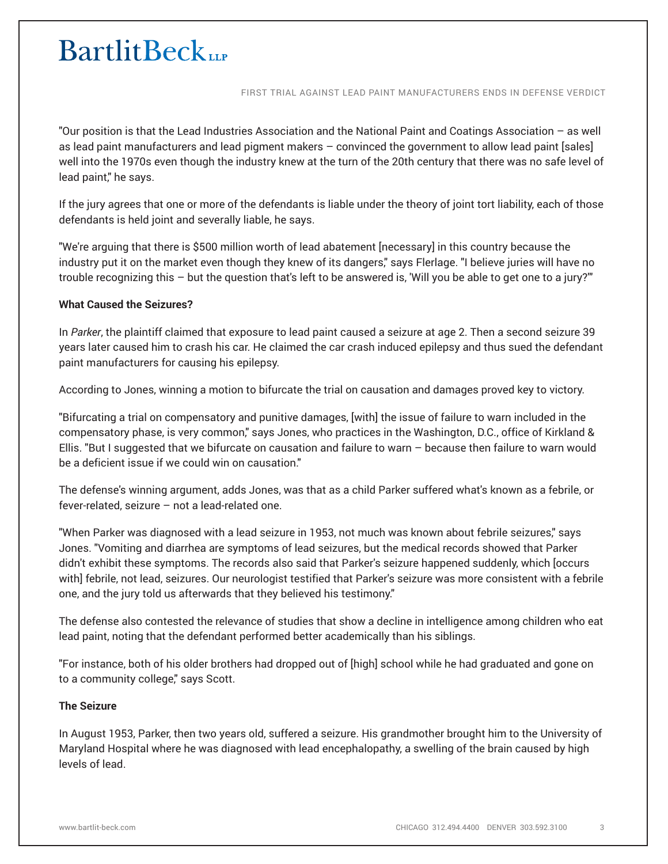FIRST TRIAL AGAINST LEAD PAINT MANUFACTURERS ENDS IN DEFENSE VERDICT

"Our position is that the Lead Industries Association and the National Paint and Coatings Association – as well as lead paint manufacturers and lead pigment makers – convinced the government to allow lead paint [sales] well into the 1970s even though the industry knew at the turn of the 20th century that there was no safe level of lead paint," he says.

If the jury agrees that one or more of the defendants is liable under the theory of joint tort liability, each of those defendants is held joint and severally liable, he says.

"We're arguing that there is \$500 million worth of lead abatement [necessary] in this country because the industry put it on the market even though they knew of its dangers," says Flerlage. "I believe juries will have no trouble recognizing this – but the question that's left to be answered is, 'Will you be able to get one to a jury?'"

### **What Caused the Seizures?**

In *Parker*, the plaintiff claimed that exposure to lead paint caused a seizure at age 2. Then a second seizure 39 years later caused him to crash his car. He claimed the car crash induced epilepsy and thus sued the defendant paint manufacturers for causing his epilepsy.

According to Jones, winning a motion to bifurcate the trial on causation and damages proved key to victory.

"Bifurcating a trial on compensatory and punitive damages, [with] the issue of failure to warn included in the compensatory phase, is very common," says Jones, who practices in the Washington, D.C., office of Kirkland & Ellis. "But I suggested that we bifurcate on causation and failure to warn – because then failure to warn would be a deficient issue if we could win on causation."

The defense's winning argument, adds Jones, was that as a child Parker suffered what's known as a febrile, or fever-related, seizure – not a lead-related one.

"When Parker was diagnosed with a lead seizure in 1953, not much was known about febrile seizures," says Jones. "Vomiting and diarrhea are symptoms of lead seizures, but the medical records showed that Parker didn't exhibit these symptoms. The records also said that Parker's seizure happened suddenly, which [occurs with] febrile, not lead, seizures. Our neurologist testified that Parker's seizure was more consistent with a febrile one, and the jury told us afterwards that they believed his testimony."

The defense also contested the relevance of studies that show a decline in intelligence among children who eat lead paint, noting that the defendant performed better academically than his siblings.

"For instance, both of his older brothers had dropped out of [high] school while he had graduated and gone on to a community college," says Scott.

#### **The Seizure**

In August 1953, Parker, then two years old, suffered a seizure. His grandmother brought him to the University of Maryland Hospital where he was diagnosed with lead encephalopathy, a swelling of the brain caused by high levels of lead.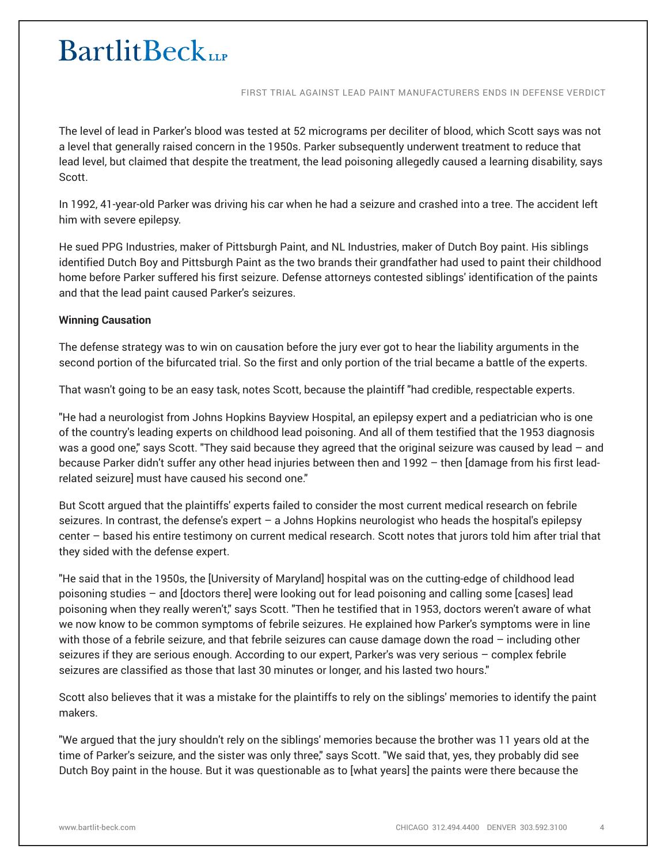FIRST TRIAL AGAINST LEAD PAINT MANUFACTURERS ENDS IN DEFENSE VERDICT

The level of lead in Parker's blood was tested at 52 micrograms per deciliter of blood, which Scott says was not a level that generally raised concern in the 1950s. Parker subsequently underwent treatment to reduce that lead level, but claimed that despite the treatment, the lead poisoning allegedly caused a learning disability, says Scott.

In 1992, 41-year-old Parker was driving his car when he had a seizure and crashed into a tree. The accident left him with severe epilepsy.

He sued PPG Industries, maker of Pittsburgh Paint, and NL Industries, maker of Dutch Boy paint. His siblings identified Dutch Boy and Pittsburgh Paint as the two brands their grandfather had used to paint their childhood home before Parker suffered his first seizure. Defense attorneys contested siblings' identification of the paints and that the lead paint caused Parker's seizures.

### **Winning Causation**

The defense strategy was to win on causation before the jury ever got to hear the liability arguments in the second portion of the bifurcated trial. So the first and only portion of the trial became a battle of the experts.

That wasn't going to be an easy task, notes Scott, because the plaintiff "had credible, respectable experts.

"He had a neurologist from Johns Hopkins Bayview Hospital, an epilepsy expert and a pediatrician who is one of the country's leading experts on childhood lead poisoning. And all of them testified that the 1953 diagnosis was a good one," says Scott. "They said because they agreed that the original seizure was caused by lead – and because Parker didn't suffer any other head injuries between then and 1992 – then [damage from his first leadrelated seizure] must have caused his second one."

But Scott argued that the plaintiffs' experts failed to consider the most current medical research on febrile seizures. In contrast, the defense's expert – a Johns Hopkins neurologist who heads the hospital's epilepsy center – based his entire testimony on current medical research. Scott notes that jurors told him after trial that they sided with the defense expert.

"He said that in the 1950s, the [University of Maryland] hospital was on the cutting-edge of childhood lead poisoning studies – and [doctors there] were looking out for lead poisoning and calling some [cases] lead poisoning when they really weren't," says Scott. "Then he testified that in 1953, doctors weren't aware of what we now know to be common symptoms of febrile seizures. He explained how Parker's symptoms were in line with those of a febrile seizure, and that febrile seizures can cause damage down the road – including other seizures if they are serious enough. According to our expert, Parker's was very serious – complex febrile seizures are classified as those that last 30 minutes or longer, and his lasted two hours."

Scott also believes that it was a mistake for the plaintiffs to rely on the siblings' memories to identify the paint makers.

"We argued that the jury shouldn't rely on the siblings' memories because the brother was 11 years old at the time of Parker's seizure, and the sister was only three," says Scott. "We said that, yes, they probably did see Dutch Boy paint in the house. But it was questionable as to [what years] the paints were there because the